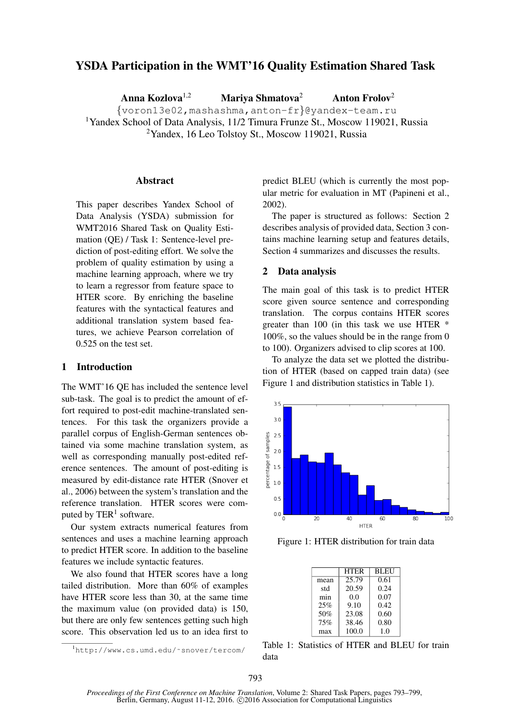# YSDA Participation in the WMT'16 Quality Estimation Shared Task

Anna Kozlova<sup>1,2</sup> Mariya Shmatova<sup>2</sup> Anton Frolov<sup>2</sup>

{voron13e02,mashashma,anton-fr}@yandex-team.ru <sup>1</sup>Yandex School of Data Analysis, 11/2 Timura Frunze St., Moscow 119021, Russia <sup>2</sup>Yandex, 16 Leo Tolstoy St., Moscow 119021, Russia

#### **Abstract**

This paper describes Yandex School of Data Analysis (YSDA) submission for WMT2016 Shared Task on Quality Estimation (QE) / Task 1: Sentence-level prediction of post-editing effort. We solve the problem of quality estimation by using a machine learning approach, where we try to learn a regressor from feature space to HTER score. By enriching the baseline features with the syntactical features and additional translation system based features, we achieve Pearson correlation of 0.525 on the test set.

#### 1 Introduction

The WMT'16 QE has included the sentence level sub-task. The goal is to predict the amount of effort required to post-edit machine-translated sentences. For this task the organizers provide a parallel corpus of English-German sentences obtained via some machine translation system, as well as corresponding manually post-edited reference sentences. The amount of post-editing is measured by edit-distance rate HTER (Snover et al., 2006) between the system's translation and the reference translation. HTER scores were computed by  $TER<sup>1</sup>$  software.

Our system extracts numerical features from sentences and uses a machine learning approach to predict HTER score. In addition to the baseline features we include syntactic features.

We also found that HTER scores have a long tailed distribution. More than 60% of examples have HTER score less than 30, at the same time the maximum value (on provided data) is 150, but there are only few sentences getting such high score. This observation led us to an idea first to

<sup>1</sup>http://www.cs.umd.edu/˜snover/tercom/

predict BLEU (which is currently the most popular metric for evaluation in MT (Papineni et al., 2002).

The paper is structured as follows: Section 2 describes analysis of provided data, Section 3 contains machine learning setup and features details, Section 4 summarizes and discusses the results.

#### 2 Data analysis

The main goal of this task is to predict HTER score given source sentence and corresponding translation. The corpus contains HTER scores greater than 100 (in this task we use HTER \* 100%, so the values should be in the range from 0 to 100). Organizers advised to clip scores at 100.

To analyze the data set we plotted the distribution of HTER (based on capped train data) (see Figure 1 and distribution statistics in Table 1).



Figure 1: HTER distribution for train data

|      | <b>HTER</b> | <b>BLEU</b> |
|------|-------------|-------------|
| mean | 25.79       | 0.61        |
| std  | 20.59       | 0.24        |
| min  | 0.0         | 0.07        |
| 25%  | 9.10        | 0.42        |
| 50%  | 23.08       | 0.60        |
| 75%  | 38.46       | 0.80        |
| max  | 100.0       | 1.0         |

Table 1: Statistics of HTER and BLEU for train data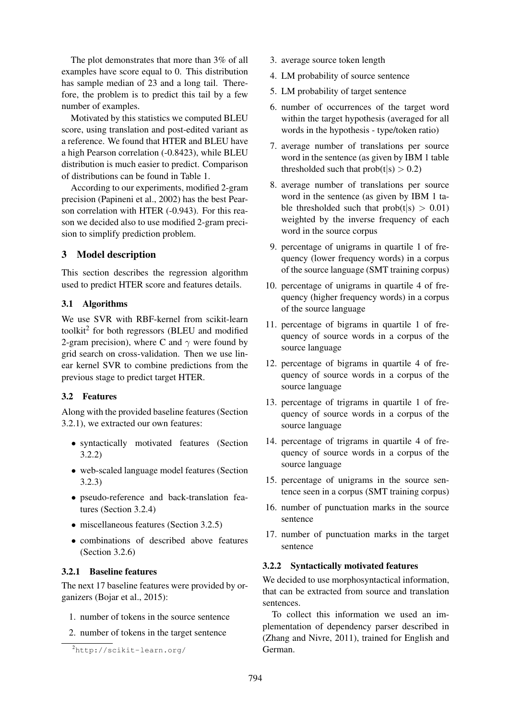The plot demonstrates that more than 3% of all examples have score equal to 0. This distribution has sample median of 23 and a long tail. Therefore, the problem is to predict this tail by a few number of examples.

Motivated by this statistics we computed BLEU score, using translation and post-edited variant as a reference. We found that HTER and BLEU have a high Pearson correlation (-0.8423), while BLEU distribution is much easier to predict. Comparison of distributions can be found in Table 1.

According to our experiments, modified 2-gram precision (Papineni et al., 2002) has the best Pearson correlation with HTER (-0.943). For this reason we decided also to use modified 2-gram precision to simplify prediction problem.

### 3 Model description

This section describes the regression algorithm used to predict HTER score and features details.

### 3.1 Algorithms

We use SVR with RBF-kernel from scikit-learn toolkit<sup>2</sup> for both regressors (BLEU and modified 2-gram precision), where C and  $\gamma$  were found by grid search on cross-validation. Then we use linear kernel SVR to combine predictions from the previous stage to predict target HTER.

# 3.2 Features

Along with the provided baseline features (Section 3.2.1), we extracted our own features:

- syntactically motivated features (Section 3.2.2)
- web-scaled language model features (Section 3.2.3)
- pseudo-reference and back-translation features (Section 3.2.4)
- miscellaneous features (Section 3.2.5)
- combinations of described above features (Section 3.2.6)

### 3.2.1 Baseline features

The next 17 baseline features were provided by organizers (Bojar et al., 2015):

- 1. number of tokens in the source sentence
- 2. number of tokens in the target sentence
- 3. average source token length
- 4. LM probability of source sentence
- 5. LM probability of target sentence
- 6. number of occurrences of the target word within the target hypothesis (averaged for all words in the hypothesis - type/token ratio)
- 7. average number of translations per source word in the sentence (as given by IBM 1 table thresholded such that  $prob(t|s) > 0.2$
- 8. average number of translations per source word in the sentence (as given by IBM 1 table thresholded such that  $prob(t|s) > 0.01$ weighted by the inverse frequency of each word in the source corpus
- 9. percentage of unigrams in quartile 1 of frequency (lower frequency words) in a corpus of the source language (SMT training corpus)
- 10. percentage of unigrams in quartile 4 of frequency (higher frequency words) in a corpus of the source language
- 11. percentage of bigrams in quartile 1 of frequency of source words in a corpus of the source language
- 12. percentage of bigrams in quartile 4 of frequency of source words in a corpus of the source language
- 13. percentage of trigrams in quartile 1 of frequency of source words in a corpus of the source language
- 14. percentage of trigrams in quartile 4 of frequency of source words in a corpus of the source language
- 15. percentage of unigrams in the source sentence seen in a corpus (SMT training corpus)
- 16. number of punctuation marks in the source sentence
- 17. number of punctuation marks in the target sentence

### 3.2.2 Syntactically motivated features

We decided to use morphosyntactical information, that can be extracted from source and translation sentences.

To collect this information we used an implementation of dependency parser described in (Zhang and Nivre, 2011), trained for English and German.

<sup>2</sup>http://scikit-learn.org/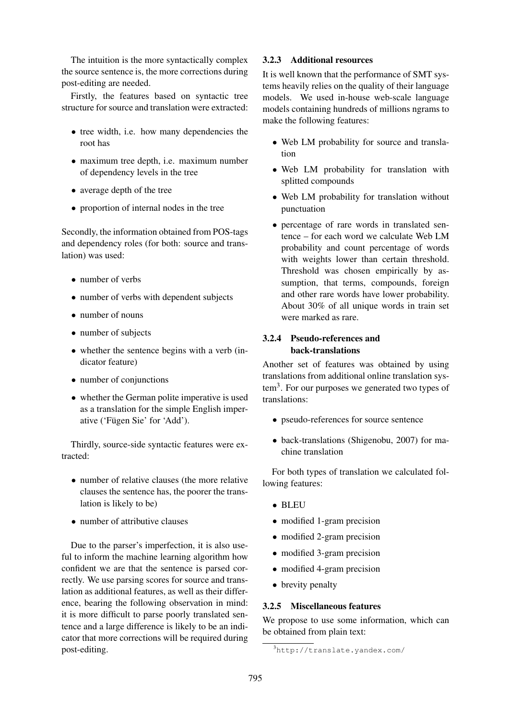The intuition is the more syntactically complex the source sentence is, the more corrections during post-editing are needed.

Firstly, the features based on syntactic tree structure for source and translation were extracted:

- tree width, i.e. how many dependencies the root has
- maximum tree depth, i.e. maximum number of dependency levels in the tree
- average depth of the tree
- proportion of internal nodes in the tree

Secondly, the information obtained from POS-tags and dependency roles (for both: source and translation) was used:

- number of verbs
- number of verbs with dependent subjects
- number of nouns
- number of subjects
- whether the sentence begins with a verb (indicator feature)
- number of conjunctions
- whether the German polite imperative is used as a translation for the simple English imperative ('Fügen Sie' for 'Add').

Thirdly, source-side syntactic features were extracted:

- number of relative clauses (the more relative clauses the sentence has, the poorer the translation is likely to be)
- number of attributive clauses

Due to the parser's imperfection, it is also useful to inform the machine learning algorithm how confident we are that the sentence is parsed correctly. We use parsing scores for source and translation as additional features, as well as their difference, bearing the following observation in mind: it is more difficult to parse poorly translated sentence and a large difference is likely to be an indicator that more corrections will be required during post-editing.

### 3.2.3 Additional resources

It is well known that the performance of SMT systems heavily relies on the quality of their language models. We used in-house web-scale language models containing hundreds of millions ngrams to make the following features:

- Web LM probability for source and translation
- Web LM probability for translation with splitted compounds
- Web LM probability for translation without punctuation
- percentage of rare words in translated sentence – for each word we calculate Web LM probability and count percentage of words with weights lower than certain threshold. Threshold was chosen empirically by assumption, that terms, compounds, foreign and other rare words have lower probability. About 30% of all unique words in train set were marked as rare.

# 3.2.4 Pseudo-references and back-translations

Another set of features was obtained by using translations from additional online translation sys $tem<sup>3</sup>$ . For our purposes we generated two types of translations:

- pseudo-references for source sentence
- back-translations (Shigenobu, 2007) for machine translation

For both types of translation we calculated following features:

- BLEU
- modified 1-gram precision
- modified 2-gram precision
- modified 3-gram precision
- modified 4-gram precision
- brevity penalty

### 3.2.5 Miscellaneous features

We propose to use some information, which can be obtained from plain text:

<sup>3</sup>http://translate.yandex.com/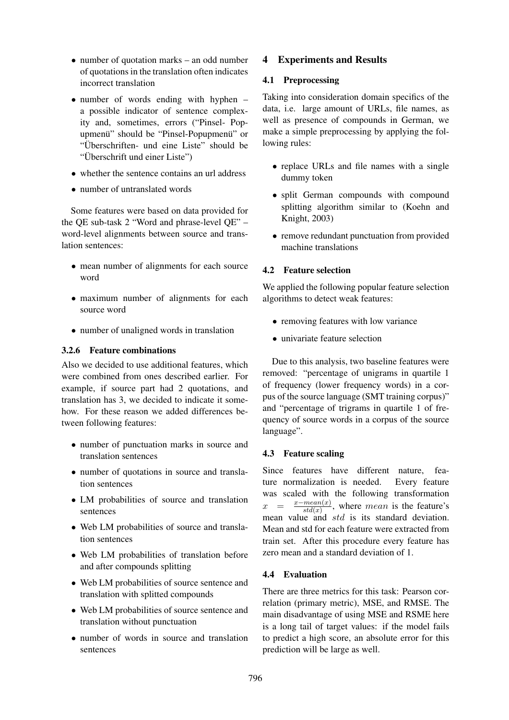- number of quotation marks an odd number of quotations in the translation often indicates incorrect translation
- number of words ending with hyphen a possible indicator of sentence complexity and, sometimes, errors ("Pinsel- Popupmenü" should be "Pinsel-Popupmenü" or "Überschriften- und eine Liste" should be "Uberschrift und einer Liste") ¨
- whether the sentence contains an url address
- number of untranslated words

Some features were based on data provided for the QE sub-task 2 "Word and phrase-level QE" – word-level alignments between source and translation sentences:

- mean number of alignments for each source word
- maximum number of alignments for each source word
- number of unaligned words in translation

## 3.2.6 Feature combinations

Also we decided to use additional features, which were combined from ones described earlier. For example, if source part had 2 quotations, and translation has 3, we decided to indicate it somehow. For these reason we added differences between following features:

- number of punctuation marks in source and translation sentences
- number of quotations in source and translation sentences
- LM probabilities of source and translation sentences
- Web LM probabilities of source and translation sentences
- Web LM probabilities of translation before and after compounds splitting
- Web LM probabilities of source sentence and translation with splitted compounds
- Web LM probabilities of source sentence and translation without punctuation
- number of words in source and translation sentences

# 4 Experiments and Results

## 4.1 Preprocessing

Taking into consideration domain specifics of the data, i.e. large amount of URLs, file names, as well as presence of compounds in German, we make a simple preprocessing by applying the following rules:

- replace URLs and file names with a single dummy token
- split German compounds with compound splitting algorithm similar to (Koehn and Knight, 2003)
- remove redundant punctuation from provided machine translations

## 4.2 Feature selection

We applied the following popular feature selection algorithms to detect weak features:

- removing features with low variance
- univariate feature selection

Due to this analysis, two baseline features were removed: "percentage of unigrams in quartile 1 of frequency (lower frequency words) in a corpus of the source language (SMT training corpus)" and "percentage of trigrams in quartile 1 of frequency of source words in a corpus of the source language".

# 4.3 Feature scaling

Since features have different nature, feature normalization is needed. Every feature was scaled with the following transformation  $x =$  $\frac{x - mean(x)}{std(x)}$ , where mean is the feature's  $std(x)$ mean value and std is its standard deviation. Mean and std for each feature were extracted from train set. After this procedure every feature has zero mean and a standard deviation of 1.

## 4.4 Evaluation

There are three metrics for this task: Pearson correlation (primary metric), MSE, and RMSE. The main disadvantage of using MSE and RSME here is a long tail of target values: if the model fails to predict a high score, an absolute error for this prediction will be large as well.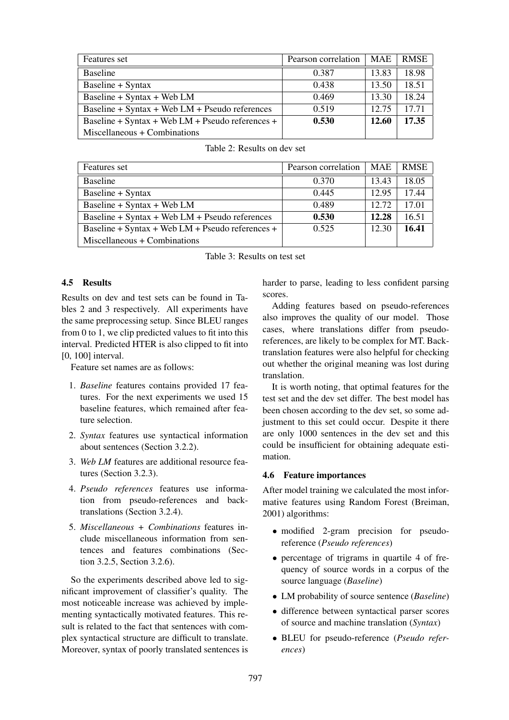| Features set                                     | Pearson correlation | MAE   | <b>RMSE</b> |
|--------------------------------------------------|---------------------|-------|-------------|
| <b>Baseline</b>                                  | 0.387               | 13.83 | 18.98       |
| Baseline + Syntax                                | 0.438               | 13.50 | 18.51       |
| Baseline + Syntax + Web $LM$                     | 0.469               | 13.30 | 18.24       |
| Baseline + Syntax + Web $LM$ + Pseudo references | 0.519               | 12.75 | 17 71       |
| Baseline + Syntax + Web LM + Pseudo references + | 0.530               | 12.60 | 17.35       |
| Miscellaneous + Combinations                     |                     |       |             |

| Features set                                       | Pearson correlation | MAE   | <b>RMSE</b> |
|----------------------------------------------------|---------------------|-------|-------------|
| <b>Baseline</b>                                    | 0.370               | 13.43 | 18.05       |
| Baseline + Syntax                                  | 0.445               | 12.95 | 17.44       |
| Baseline + Syntax + Web LM                         | 0.489               | 12.72 | 17.01       |
| Baseline + Syntax + Web $LM$ + Pseudo references   | 0.530               | 12.28 | 16.51       |
| Baseline + Syntax + Web $LM$ + Pseudo references + | 0.525               | 12.30 | 16.41       |
| Miscellaneous + Combinations                       |                     |       |             |

Table 2: Results on dev set

Table 3: Results on test set

#### 4.5 Results

Results on dev and test sets can be found in Tables 2 and 3 respectively. All experiments have the same preprocessing setup. Since BLEU ranges from 0 to 1, we clip predicted values to fit into this interval. Predicted HTER is also clipped to fit into [0, 100] interval.

Feature set names are as follows:

- 1. *Baseline* features contains provided 17 features. For the next experiments we used 15 baseline features, which remained after feature selection.
- 2. *Syntax* features use syntactical information about sentences (Section 3.2.2).
- 3. *Web LM* features are additional resource features (Section 3.2.3).
- 4. *Pseudo references* features use information from pseudo-references and backtranslations (Section 3.2.4).
- 5. *Miscellaneous + Combinations* features include miscellaneous information from sentences and features combinations (Section 3.2.5, Section 3.2.6).

So the experiments described above led to significant improvement of classifier's quality. The most noticeable increase was achieved by implementing syntactically motivated features. This result is related to the fact that sentences with complex syntactical structure are difficult to translate. Moreover, syntax of poorly translated sentences is harder to parse, leading to less confident parsing scores.

Adding features based on pseudo-references also improves the quality of our model. Those cases, where translations differ from pseudoreferences, are likely to be complex for MT. Backtranslation features were also helpful for checking out whether the original meaning was lost during translation.

It is worth noting, that optimal features for the test set and the dev set differ. The best model has been chosen according to the dev set, so some adjustment to this set could occur. Despite it there are only 1000 sentences in the dev set and this could be insufficient for obtaining adequate estimation.

#### 4.6 Feature importances

After model training we calculated the most informative features using Random Forest (Breiman, 2001) algorithms:

- modified 2-gram precision for pseudoreference (*Pseudo references*)
- percentage of trigrams in quartile 4 of frequency of source words in a corpus of the source language (*Baseline*)
- LM probability of source sentence (*Baseline*)
- difference between syntactical parser scores of source and machine translation (*Syntax*)
- BLEU for pseudo-reference (*Pseudo references*)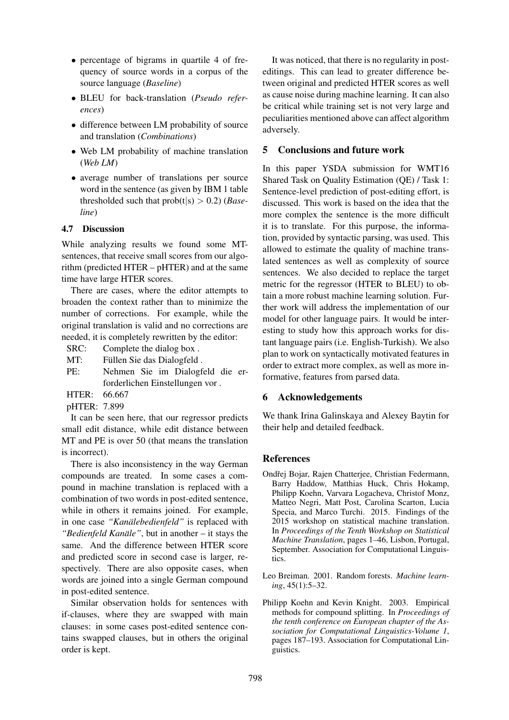- percentage of bigrams in quartile 4 of frequency of source words in a corpus of the source language (*Baseline*)
- BLEU for back-translation (*Pseudo references*)
- difference between LM probability of source and translation (*Combinations*)
- Web LM probability of machine translation (*Web LM*)
- average number of translations per source word in the sentence (as given by IBM 1 table thresholded such that  $prob(t|s) > 0.2$  (*Baseline*)

### 4.7 Discussion

While analyzing results we found some MTsentences, that receive small scores from our algorithm (predicted HTER – pHTER) and at the same time have large HTER scores.

There are cases, where the editor attempts to broaden the context rather than to minimize the number of corrections. For example, while the original translation is valid and no corrections are needed, it is completely rewritten by the editor:

SRC: Complete the dialog box .

MT: Füllen Sie das Dialogfeld.

- PE: Nehmen Sie im Dialogfeld die erforderlichen Einstellungen vor .
- HTER: 66.667
- pHTER: 7.899

It can be seen here, that our regressor predicts small edit distance, while edit distance between MT and PE is over 50 (that means the translation is incorrect).

There is also inconsistency in the way German compounds are treated. In some cases a compound in machine translation is replaced with a combination of two words in post-edited sentence, while in others it remains joined. For example, in one case "Kanälebedienfeld" is replaced with *"Bedienfeld Kanale" ¨* , but in another – it stays the same. And the difference between HTER score and predicted score in second case is larger, respectively. There are also opposite cases, when words are joined into a single German compound in post-edited sentence.

Similar observation holds for sentences with if-clauses, where they are swapped with main clauses: in some cases post-edited sentence contains swapped clauses, but in others the original order is kept.

It was noticed, that there is no regularity in posteditings. This can lead to greater difference between original and predicted HTER scores as well as cause noise during machine learning. It can also be critical while training set is not very large and peculiarities mentioned above can affect algorithm adversely.

### 5 Conclusions and future work

In this paper YSDA submission for WMT16 Shared Task on Quality Estimation (QE) / Task 1: Sentence-level prediction of post-editing effort, is discussed. This work is based on the idea that the more complex the sentence is the more difficult it is to translate. For this purpose, the information, provided by syntactic parsing, was used. This allowed to estimate the quality of machine translated sentences as well as complexity of source sentences. We also decided to replace the target metric for the regressor (HTER to BLEU) to obtain a more robust machine learning solution. Further work will address the implementation of our model for other language pairs. It would be interesting to study how this approach works for distant language pairs (i.e. English-Turkish). We also plan to work on syntactically motivated features in order to extract more complex, as well as more informative, features from parsed data.

### 6 Acknowledgements

We thank Irina Galinskaya and Alexey Baytin for their help and detailed feedback.

### **References**

- Ondřej Bojar, Rajen Chatterjee, Christian Federmann, Barry Haddow, Matthias Huck, Chris Hokamp, Philipp Koehn, Varvara Logacheva, Christof Monz, Matteo Negri, Matt Post, Carolina Scarton, Lucia Specia, and Marco Turchi. 2015. Findings of the 2015 workshop on statistical machine translation. In *Proceedings of the Tenth Workshop on Statistical Machine Translation*, pages 1–46, Lisbon, Portugal, September. Association for Computational Linguistics.
- Leo Breiman. 2001. Random forests. *Machine learning*, 45(1):5–32.
- Philipp Koehn and Kevin Knight. 2003. Empirical methods for compound splitting. In *Proceedings of the tenth conference on European chapter of the Association for Computational Linguistics-Volume 1*, pages 187–193. Association for Computational Linguistics.